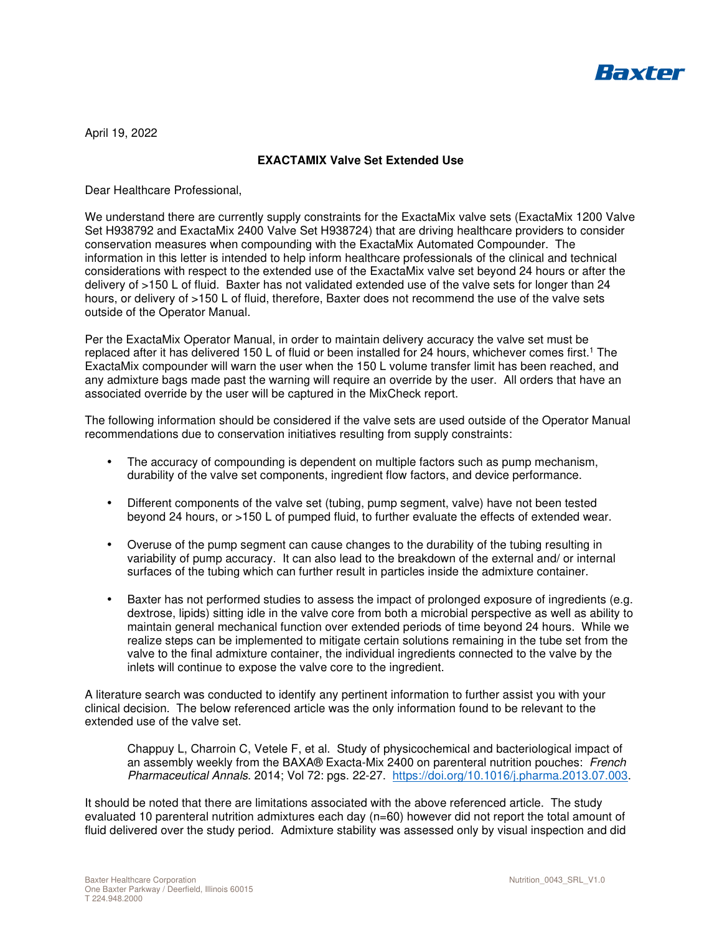

April 19, 2022

## **EXACTAMIX Valve Set Extended Use**

Dear Healthcare Professional,

We understand there are currently supply constraints for the ExactaMix valve sets (ExactaMix 1200 Valve Set H938792 and ExactaMix 2400 Valve Set H938724) that are driving healthcare providers to consider conservation measures when compounding with the ExactaMix Automated Compounder. The information in this letter is intended to help inform healthcare professionals of the clinical and technical considerations with respect to the extended use of the ExactaMix valve set beyond 24 hours or after the delivery of >150 L of fluid. Baxter has not validated extended use of the valve sets for longer than 24 hours, or delivery of >150 L of fluid, therefore, Baxter does not recommend the use of the valve sets outside of the Operator Manual.

Per the ExactaMix Operator Manual, in order to maintain delivery accuracy the valve set must be replaced after it has delivered 150 L of fluid or been installed for 24 hours, whichever comes first.<sup>1</sup> The ExactaMix compounder will warn the user when the 150 L volume transfer limit has been reached, and any admixture bags made past the warning will require an override by the user. All orders that have an associated override by the user will be captured in the MixCheck report.

The following information should be considered if the valve sets are used outside of the Operator Manual recommendations due to conservation initiatives resulting from supply constraints:

- The accuracy of compounding is dependent on multiple factors such as pump mechanism, durability of the valve set components, ingredient flow factors, and device performance.
- Different components of the valve set (tubing, pump segment, valve) have not been tested beyond 24 hours, or >150 L of pumped fluid, to further evaluate the effects of extended wear.
- Overuse of the pump segment can cause changes to the durability of the tubing resulting in variability of pump accuracy. It can also lead to the breakdown of the external and/ or internal surfaces of the tubing which can further result in particles inside the admixture container.
- Baxter has not performed studies to assess the impact of prolonged exposure of ingredients (e.g. dextrose, lipids) sitting idle in the valve core from both a microbial perspective as well as ability to maintain general mechanical function over extended periods of time beyond 24 hours. While we realize steps can be implemented to mitigate certain solutions remaining in the tube set from the valve to the final admixture container, the individual ingredients connected to the valve by the inlets will continue to expose the valve core to the ingredient.

A literature search was conducted to identify any pertinent information to further assist you with your clinical decision. The below referenced article was the only information found to be relevant to the extended use of the valve set.

Chappuy L, Charroin C, Vetele F, et al. Study of physicochemical and bacteriological impact of an assembly weekly from the BAXA® Exacta-Mix 2400 on parenteral nutrition pouches: French Pharmaceutical Annals. 2014; Vol 72: pgs. 22-27. https://doi.org/10.1016/j.pharma.2013.07.003.

It should be noted that there are limitations associated with the above referenced article. The study evaluated 10 parenteral nutrition admixtures each day (n=60) however did not report the total amount of fluid delivered over the study period. Admixture stability was assessed only by visual inspection and did